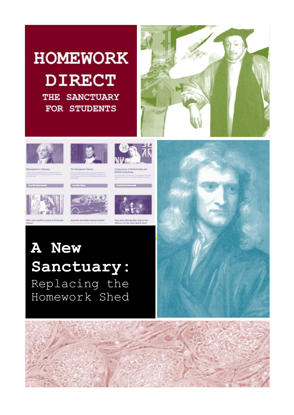# **HOMEWORK DIRECT** THE SANCTUARY FOR STUDENTS











**Sanctuary: A New**   $\mathbf{S}\mathbf{anctuary:}$  *Homework*  $\mathbf{H}$  */*  $\mathbf{H}$ **Shed** Homework ShedReplacing the

1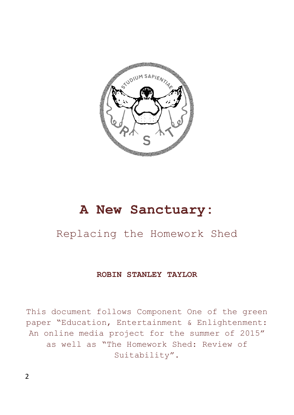

#### **A New Sanctuary:**

#### Replacing the Homework Shed

#### **ROBIN STANLEY TAYLOR**

This document follows Component One of the green paper "Education, Entertainment & Enlightenment: An online media project for the summer of 2015" as well as "The Homework Shed: Review of Suitability".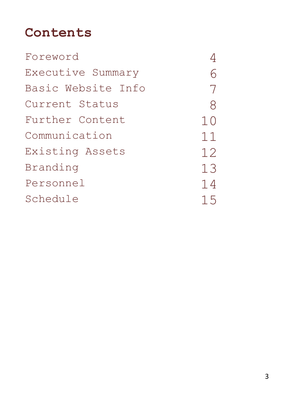#### **Contents**

| Foreword           |    |
|--------------------|----|
| Executive Summary  |    |
| Basic Website Info | 7  |
| Current Status     | 8  |
| Further Content    | 10 |
| Communication      | 11 |
| Existing Assets    | 12 |
| Branding           | 13 |
| Personnel          | 14 |
| Schedule           | 15 |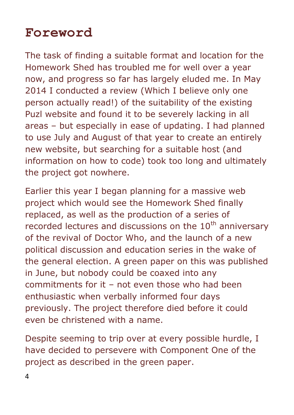#### **Foreword**

The task of finding a suitable format and location for the Homework Shed has troubled me for well over a year now, and progress so far has largely eluded me. In May 2014 I conducted a review (Which I believe only one person actually read!) of the suitability of the existing Puzl website and found it to be severely lacking in all areas – but especially in ease of updating. I had planned to use July and August of that year to create an entirely new website, but searching for a suitable host (and information on how to code) took too long and ultimately the project got nowhere.

Earlier this year I began planning for a massive web project which would see the Homework Shed finally replaced, as well as the production of a series of recorded lectures and discussions on the  $10<sup>th</sup>$  anniversary of the revival of Doctor Who, and the launch of a new political discussion and education series in the wake of the general election. A green paper on this was published in June, but nobody could be coaxed into any commitments for it – not even those who had been enthusiastic when verbally informed four days previously. The project therefore died before it could even be christened with a name.

Despite seeming to trip over at every possible hurdle, I have decided to persevere with Component One of the project as described in the green paper.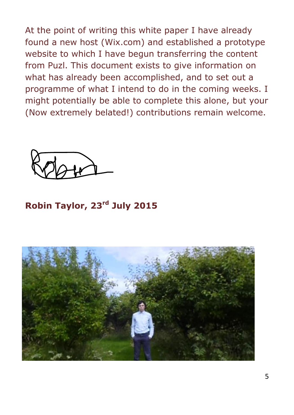At the point of writing this white paper I have already found a new host (Wix.com) and established a prototype website to which I have begun transferring the content from Puzl. This document exists to give information on what has already been accomplished, and to set out a programme of what I intend to do in the coming weeks. I might potentially be able to complete this alone, but your (Now extremely belated!) contributions remain welcome.



**Robin Taylor, 23rd July 2015**

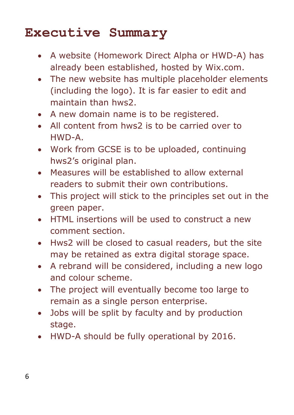#### **Executive Summary**

- A website (Homework Direct Alpha or HWD-A) has already been established, hosted by Wix.com.
- The new website has multiple placeholder elements (including the logo). It is far easier to edit and maintain than hws2.
- A new domain name is to be registered.
- All content from hws2 is to be carried over to HWD-A.
- Work from GCSE is to be uploaded, continuing hws2's original plan.
- Measures will be established to allow external readers to submit their own contributions.
- This project will stick to the principles set out in the green paper.
- HTML insertions will be used to construct a new comment section.
- Hws2 will be closed to casual readers, but the site may be retained as extra digital storage space.
- A rebrand will be considered, including a new logo and colour scheme.
- The project will eventually become too large to remain as a single person enterprise.
- Jobs will be split by faculty and by production stage.
- HWD-A should be fully operational by 2016.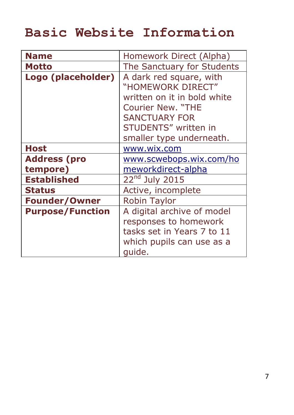# **Basic Website Information**

| <b>Name</b>             | Homework Direct (Alpha)     |
|-------------------------|-----------------------------|
| <b>Motto</b>            | The Sanctuary for Students  |
| Logo (placeholder)      | A dark red square, with     |
|                         | "HOMEWORK DIRECT"           |
|                         | written on it in bold white |
|                         | <b>Courier New. "THE</b>    |
|                         | <b>SANCTUARY FOR</b>        |
|                         | STUDENTS" written in        |
|                         | smaller type underneath.    |
| <b>Host</b>             | www.wix.com                 |
| <b>Address (pro</b>     | www.scwebops.wix.com/ho     |
| tempore)                | meworkdirect-alpha          |
| <b>Established</b>      | $22nd$ July 2015            |
| <b>Status</b>           | Active, incomplete          |
| <b>Founder/Owner</b>    | <b>Robin Taylor</b>         |
| <b>Purpose/Function</b> | A digital archive of model  |
|                         | responses to homework       |
|                         | tasks set in Years 7 to 11  |
|                         | which pupils can use as a   |
|                         | quide.                      |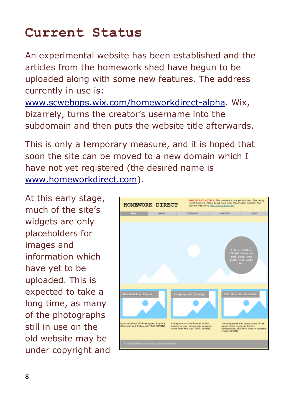#### **Current Status**

An experimental website has been established and the articles from the homework shed have begun to be uploaded along with some new features. The address currently in use is:

[www.scwebops.wix.com/homeworkdirect-alpha.](http://www.scwebops.wix.com/homeworkdirect-alpha) Wix, bizarrely, turns the creator's username into the subdomain and then puts the website title afterwards.

This is only a temporary measure, and it is hoped that soon the site can be moved to a new domain which I have not yet registered (the desired name is [www.homeworkdirect.com\)](http://www.homeworkdirect.com/).

At this early stage, much of the site's widgets are only placeholders for images and information which have yet to be uploaded. This is expected to take a long time, as many of the photographs still in use on the old website may be under copyright and

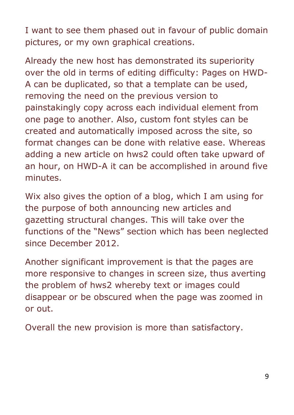I want to see them phased out in favour of public domain pictures, or my own graphical creations.

Already the new host has demonstrated its superiority over the old in terms of editing difficulty: Pages on HWD-A can be duplicated, so that a template can be used, removing the need on the previous version to painstakingly copy across each individual element from one page to another. Also, custom font styles can be created and automatically imposed across the site, so format changes can be done with relative ease. Whereas adding a new article on hws2 could often take upward of an hour, on HWD-A it can be accomplished in around five minutes.

Wix also gives the option of a blog, which I am using for the purpose of both announcing new articles and gazetting structural changes. This will take over the functions of the "News" section which has been neglected since December 2012.

Another significant improvement is that the pages are more responsive to changes in screen size, thus averting the problem of hws2 whereby text or images could disappear or be obscured when the page was zoomed in or out.

Overall the new provision is more than satisfactory.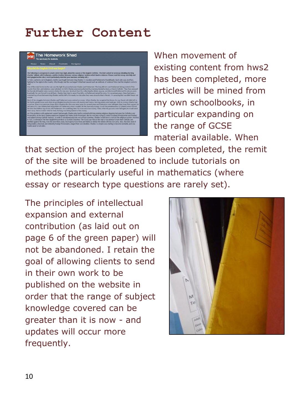#### **Further Content**

| Home                                 | Nows | About | Contents | Navigator                                                                                                                                                                                                                                                                                                                                                                                                                                                                                                                                                                                                                                                                                                                                                                                                                                                                                                                                           |
|--------------------------------------|------|-------|----------|-----------------------------------------------------------------------------------------------------------------------------------------------------------------------------------------------------------------------------------------------------------------------------------------------------------------------------------------------------------------------------------------------------------------------------------------------------------------------------------------------------------------------------------------------------------------------------------------------------------------------------------------------------------------------------------------------------------------------------------------------------------------------------------------------------------------------------------------------------------------------------------------------------------------------------------------------------|
| Vby did the English Civil war begin? |      |       |          |                                                                                                                                                                                                                                                                                                                                                                                                                                                                                                                                                                                                                                                                                                                                                                                                                                                                                                                                                     |
|                                      |      |       |          | The following is a response to a task set in Yoar Eight, about the causes of the English Civil War. The brief asked for an essay detailing the King<br>Charles' fallouts with Parliament, and the rivalries between various religious factions which lead to violence. Please read this essay carefully and<br>don't plagiarise this site (I won't particularly mind but your teachers certainly will.).                                                                                                                                                                                                                                                                                                                                                                                                                                                                                                                                            |
| <b>WAC</b>                           |      |       |          | In 1642, war broke out in England, a battle was fought between King Charles I's Cavalers and Farliaments Roundheads. Each side was, in effect,<br>fighting for the rights to the county. Why though, had the war begun? What had caused such an outbreak of violence? How had the kingdom come to                                                                                                                                                                                                                                                                                                                                                                                                                                                                                                                                                                                                                                                   |
| <b><i><u>INFORMANT</u></i></b>       |      |       |          | One of the main factors in the war was the fight for power between Charles and Parliament. The king did not want Parliament taking control of the<br>country from him, and relations were turbulent, in 1625, Charles annoved parliament by manying Henrietta Maria, a French Catholic. They then annoved.<br>him by only letting him raise customs duties for one year. He struck back by collecting the duties anyway, and dismissed Parliament for eleven years.<br>Eventually, he was forced to recall them. Charles then tried to asset five MPs, so Parliament seized his seny. For seventeen years, there had been a<br>constant tuo of war between King Charles and his MPs. For nearly two decades they were at each other's throats. It's arriazing that war didn't break out.                                                                                                                                                            |
|                                      |      |       |          | Most of the struggles between Charles and Parliament were centred on money. When Charles first acquired the throne, he was faced with debt left to<br>him by his predecessor, and when he got England involved in wars with Austria and France, the king nearly went bankrupt. With no money, Charles had.<br>no power. What most previous Kings did in situation like this was raise taxes for several years until their pots were full again (then keep them up just for<br>the sake of it). But Charles had the problem of Parliament, whom wouldn't let him have any money. It was the penniles press of Charles which forced<br>him into the endless tug of war with Parliament. He would beg them for more and more money. Then, when his pockets were full again, he would send<br>them away. But no matter what he tried, the king was being drained of his money.                                                                          |
| teaching appet on all abbes.         |      |       |          | As if his problems with parliament weren't bad enough. Charles also had to contend with long running religious disputes between the Catholics and<br>Protestants, At the time, Charles ruled over England and Wales (both Protestant). But he was also trans to control Scotland (Presbyterian and Puntan)<br>and Ireland (utrong Catholic tenttory), in order to simultaneously rule over all four countries. Charles would have to sort out the religious system. He tried.<br>in 1637, to introduce The New English Prayer Book to Scottish churches. The Scots saw this as the start of an attempt to turn them Catholic and<br>rebelled against the King. Over the next three years, his majesty twice hied, and failed, to defeat the rebels with his own army. Also, the high, tind of<br>being bulled, attacked, and robbed by foreign Protestants, staged their own rebellion. Charles i's empler was starting to become unstable, and was |

When movement of existing content from hws2 has been completed, more articles will be mined from my own schoolbooks, in particular expanding on the range of GCSE material available. When

that section of the project has been completed, the remit of the site will be broadened to include tutorials on methods (particularly useful in mathematics (where essay or research type questions are rarely set).

The principles of intellectual expansion and external contribution (as laid out on page 6 of the green paper) will not be abandoned. I retain the goal of allowing clients to send in their own work to be published on the website in order that the range of subject knowledge covered can be greater than it is now - and updates will occur more frequently.

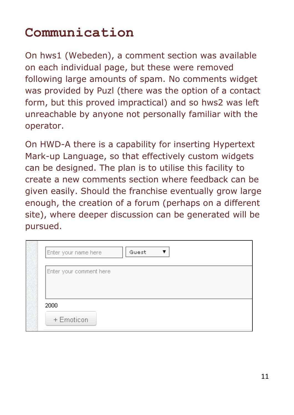#### **Communication**

On hws1 (Webeden), a comment section was available on each individual page, but these were removed following large amounts of spam. No comments widget was provided by Puzl (there was the option of a contact form, but this proved impractical) and so hws2 was left unreachable by anyone not personally familiar with the operator.

On HWD-A there is a capability for inserting Hypertext Mark-up Language, so that effectively custom widgets can be designed. The plan is to utilise this facility to create a new comments section where feedback can be given easily. Should the franchise eventually grow large enough, the creation of a forum (perhaps on a different site), where deeper discussion can be generated will be pursued.

| Enter your name here     | Guest |
|--------------------------|-------|
| Enter your comment here. |       |
|                          |       |
|                          |       |
|                          |       |
| 2000                     |       |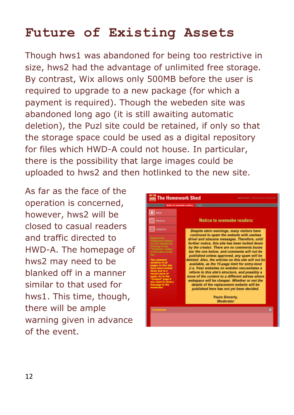# **Future of Existing Assets**

Though hws1 was abandoned for being too restrictive in size, hws2 had the advantage of unlimited free storage. By contrast, Wix allows only 500MB before the user is required to upgrade to a new package (for which a payment is required). Though the webeden site was abandoned long ago (it is still awaiting automatic deletion), the Puzl site could be retained, if only so that the storage space could be used as a digital repository for files which HWD-A could not house. In particular, there is the possibility that large images could be uploaded to hws2 and then hotlinked to the new site.

As far as the face of the operation is concerned, however, hws2 will be closed to casual readers and traffic directed to HWD-A. The homepage of hws2 may need to be blanked off in a manner similar to that used for hws1. This time, though, there will be ample warning given in advance of the event.

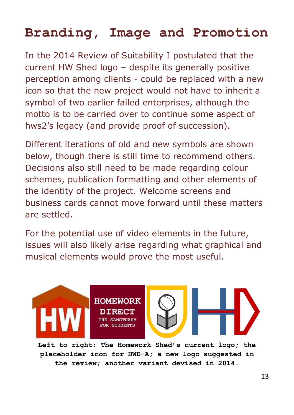### **Branding, Image and Promotion**

In the 2014 Review of Suitability I postulated that the current HW Shed logo – despite its generally positive perception among clients - could be replaced with a new icon so that the new project would not have to inherit a symbol of two earlier failed enterprises, although the motto is to be carried over to continue some aspect of hws2's legacy (and provide proof of succession).

Different iterations of old and new symbols are shown below, though there is still time to recommend others. Decisions also still need to be made regarding colour schemes, publication formatting and other elements of the identity of the project. Welcome screens and business cards cannot move forward until these matters are settled.

For the potential use of video elements in the future, issues will also likely arise regarding what graphical and musical elements would prove the most useful.



**Left to right: The Homework Shed's current logo; the placeholder icon for HWD-A; a new logo suggested in the review; another variant devised in 2014.**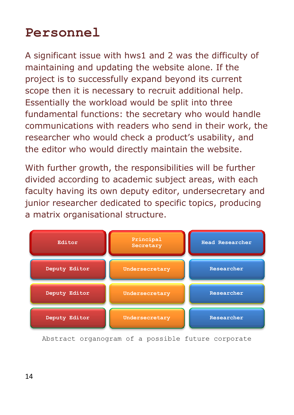### **Personnel**

A significant issue with hws1 and 2 was the difficulty of maintaining and updating the website alone. If the project is to successfully expand beyond its current scope then it is necessary to recruit additional help. Essentially the workload would be split into three fundamental functions: the secretary who would handle communications with readers who send in their work, the researcher who would check a product's usability, and the editor who would directly maintain the website.

With further growth, the responsibilities will be further divided according to academic subject areas, with each faculty having its own deputy editor, undersecretary and junior researcher dedicated to specific topics, producing a matrix organisational structure.



Abstract organogram of a possible future corporate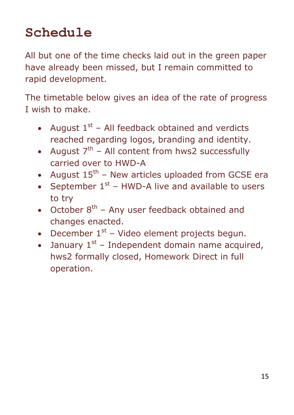# **Schedule**

All but one of the time checks laid out in the green paper have already been missed, but I remain committed to rapid development.

The timetable below gives an idea of the rate of progress I wish to make.

- August  $1<sup>st</sup>$  All feedback obtained and verdicts reached regarding logos, branding and identity.
- August  $7^{th}$  All content from hws2 successfully carried over to HWD-A
- August  $15^{th}$  New articles uploaded from GCSE era
- September  $1^{st}$  HWD-A live and available to users to try
- October  $8<sup>th</sup>$  Any user feedback obtained and changes enacted.
- December  $1^{st}$  Video element projects begun.
- January  $1^{st}$  Independent domain name acquired, hws2 formally closed, Homework Direct in full operation.